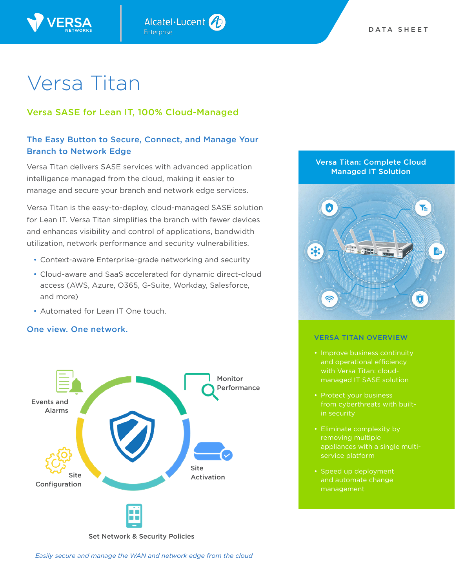

# Versa SASE for Lean IT, 100% Cloud-Managed

# The Easy Button to Secure, Connect, and Manage Your Branch to Network Edge

Alcatel·Lucent

Versa Titan delivers SASE services with advanced application intelligence managed from the cloud, making it easier to manage and secure your branch and network edge services.

Versa Titan is the easy-to-deploy, cloud-managed SASE solution for Lean IT. Versa Titan simplifies the branch with fewer devices and enhances visibility and control of applications, bandwidth utilization, network performance and security vulnerabilities.

- Context-aware Enterprise-grade networking and security
- Cloud-aware and SaaS accelerated for dynamic direct-cloud access (AWS, Azure, O365, G-Suite, Workday, Salesforce, and more)
- Automated for Lean IT One touch.

# One view. One network.



Set Network & Security Policies

*Easily secure and manage the WAN and network edge from the cloud*

# Versa Titan: Complete Cloud Managed IT Solution



#### VERSA TITAN OVERVIEW

- Improve business continuity and operational efficiency with Versa Titan: cloudmanaged IT SASE solution
- Protect your business from cyberthreats with builtin security
- appliances with a single multiservice platform
- Speed up deployment and automate change management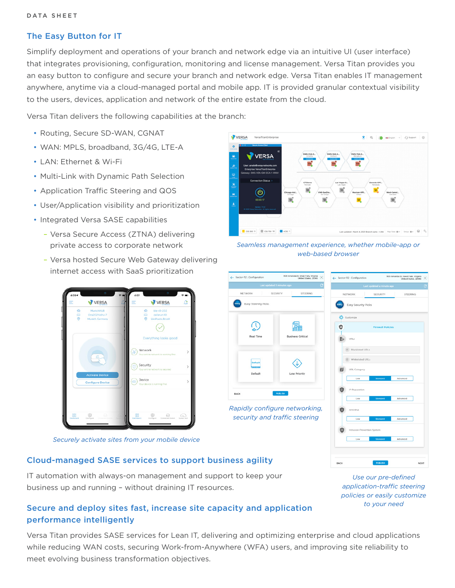### The Easy Button for IT

Simplify deployment and operations of your branch and network edge via an intuitive UI (user interface) that integrates provisioning, configuration, monitoring and license management. Versa Titan provides you an easy button to configure and secure your branch and network edge. Versa Titan enables IT management anywhere, anytime via a cloud-managed portal and mobile app. IT is provided granular contextual visibility to the users, devices, application and network of the entire estate from the cloud.

Versa Titan delivers the following capabilities at the branch:

- Routing, Secure SD-WAN, CGNAT
- WAN: MPLS, broadband, 3G/4G, LTE-A
- LAN: Ethernet & Wi-Fi
- Multi-Link with Dynamic Path Selection
- Application Traffic Steering and QOS
- User/Application visibility and prioritization
- Integrated Versa SASE capabilities
	- Versa Secure Access (ZTNA) delivering private access to corporate network
	- Versa hosted Secure Web Gateway delivering internet access with SaaS prioritization



*Securely activate sites from your mobile device*

### Cloud-managed SASE services to support business agility

IT automation with always-on management and support to keep your business up and running – without draining IT resources.



*Seamless management experience, whether mobile-app or web-based browser*

| 1109 Amanda Dr. Great Falls, Virginia<br>← Sector-112 : Configuration<br>×<br>United States, 22066 | 1909 Amanda Dr, Great Falls, Virginia<br>< Sector-112 : Configuration<br>×<br>United Statos, 22066 |
|----------------------------------------------------------------------------------------------------|----------------------------------------------------------------------------------------------------|
| Last updated 5 minutes ago                                                                         | Last updated a minute ago<br>c                                                                     |
| NETWORK<br><b>SECURITY</b><br><b>STEERING</b>                                                      | <b>NETWORK</b><br>SECURITY<br><b>STEERING</b>                                                      |
| Easy Steering Picks                                                                                | Easy Security Picks                                                                                |
| Real Time<br><b>Business Critical</b>                                                              | Customize<br><b>Firewall Policies</b><br>URLs                                                      |
| <b>Default</b><br>mm<br>Default<br>Low Priority                                                    | 0 Blacklisted URLs<br>0 Whitelisted URLs<br>URL Category<br>Low<br>Standard<br>Advanced            |
| PUBLISH<br><b>BACK</b>                                                                             | IP Reputation<br>Standard<br>Atlyanced<br>Low                                                      |
| Rapidly configure networking,<br>security and traffic steering                                     | Antivirus<br>Standard<br>Advanced<br>Low<br>Intrusion Prevention System                            |
|                                                                                                    | Standard<br>Low<br>Advanced                                                                        |

BACK

*Use our pre-defined application-traffic steering policies or easily customize to your need*

NEXT

# Secure and deploy sites fast, increase site capacity and application performance intelligently

Versa Titan provides SASE services for Lean IT, delivering and optimizing enterprise and cloud applications while reducing WAN costs, securing Work-from-Anywhere (WFA) users, and improving site reliability to meet evolving business transformation objectives.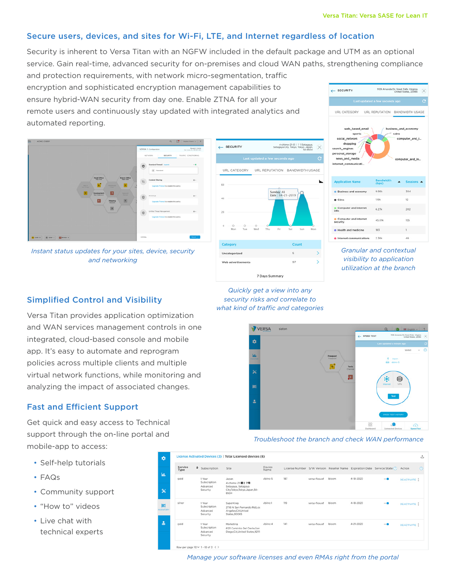← SECURITY

### Secure users, devices, and sites for Wi-Fi, LTE, and Internet regardless of location

Security is inherent to Versa Titan with an NGFW included in the default package and UTM as an optional service. Gain real-time, advanced security for on-premises and cloud WAN paths, strengthening compliance

and protection requirements, with network micro-segmentation, traffic encryption and sophisticated encryption management capabilities to ensure hybrid-WAN security from day one. Enable ZTNA for all your remote users and continuously stay updated with integrated analytics and automated reporting.



*Instant status updates for your sites, device, security and networking*





1109 Amanda Dr, Great Falls, Virginia<br>United States, 22066

*Granular and contextual visibility to application utilization at the branch*

# Simplified Control and Visibility

Versa Titan provides application optimization and WAN services management controls in one integrated, cloud-based console and mobile app. It's easy to automate and reprogram policies across multiple clients and multiple virtual network functions, while monitoring and analyzing the impact of associated changes.

# Fast and Efficient Support

Get quick and easy access to Technical support through the on-line portal and mobile-app to access:

- Self-help tutorials
- FAQs
- Community support
- "How to" videos
- Live chat with technical experts

*Quickly get a view into any security risks and correlate to what kind of traffic and categories* 





| Service<br>Type | $\div$ | Subscription                                   | Site                                                                                 | Device<br>Name |     |               |       |                 | License Number S/W Version Reseller Name Expiration Date Service State (2) | Action            |
|-----------------|--------|------------------------------------------------|--------------------------------------------------------------------------------------|----------------|-----|---------------|-------|-----------------|----------------------------------------------------------------------------|-------------------|
| cold            |        | 1 Year<br>Subscription<br>Advanced<br>Security | Japan<br>4-chame-21-番27号<br>Setagaya, Setagaya<br>City.Tokyo.Tokyo.Japan.54-<br>8504 | vbiinc-5       | 187 | versa-flexynf | bloom | 4-18-2020       | $\qquad \qquad \blacksquare$                                               | <b>DEACTIVATE</b> |
| silver          |        | 1 Year<br>Subscription<br>Advanced<br>Security | SuperKing<br>2716 N San Fernando Rd.Los<br>Angeles CA United<br>States.90065         | vbiinc-1       | 119 | versa-flexynf | bloom | 4-18-2020       | $-o$                                                                       | <b>DEACTIVATE</b> |
| gold            |        | 1 Year<br>Subscription<br>Advanced<br>Security | Marketing<br>6121 Caminito Del Oeste San<br>Diego,CA,United States,92111             | vbiinc-4       | 141 | versa-flexynf | bloom | $4 - 21 - 2020$ | $ \bullet$                                                                 | DEACTIVATE        |

*Manage your software licenses and even RMAs right from the portal*